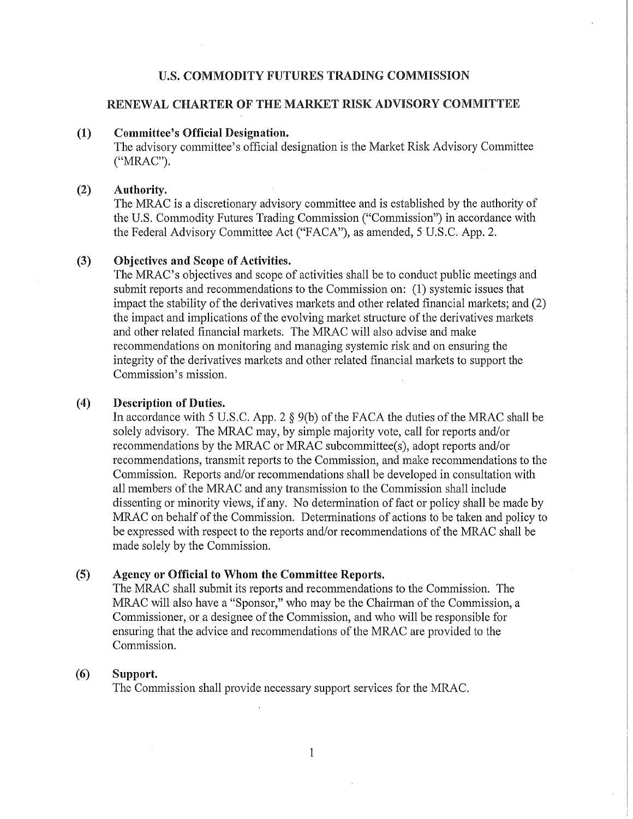# U.S. COMMODITY FUTURES TRADING COMMISSION

## RENEWAL CHARTER OF THE MARKET RISK ADVISORY COMMITTEE

#### (1) Committee's Official Designation.

The advisory committee's official designation is the Market Risk Advisory Committee ("MRAC").

#### (2) Authority.

The MRAC is a discretionary advisory committee and is established by the authority of the U.S. Commodity Futures Trading Commission ("Commission") in accordance with the Federal Advisory Committee Act ("FACA"), as amended, 5 U.S.C. App. 2.

#### (3) Objectives and Scope of Activities.

The MRAC's objectives and scope of activities shall be to conduct public meetings and submit reports and recommendations to the Commission on: (1) systemic issues that impact the stability of the derivatives markets and other related financial markets; and  $(2)$ the impact and implications of the evolving market structure of the derivatives markets and other related financial markets. The MRAC will also advise and make recommendations on monitoring and managing systemic risk and on ensuring the integrity of the derivatives markets and other related financial markets to support the Commission's mission.

#### (4) Description of Duties.

In accordance with 5 U.S.C. App. 2  $\S$  9(b) of the FACA the duties of the MRAC shall be solely advisory. The MRAC may, by simple majority vote, call for reports and/or recommendations by the MRAC or MRAC subcommittee(s), adopt reports and/or recommendations, transmit reports to the Commission, and make recommendations to the Commission. Reports and/or recommendations shall be developed in consultation with all members of the MRAC and any transmission to the Commission shall include dissenting or minority views, if any. No determination of fact or policy shall be made by MRAC on behalf of the Commission. Determinations of actions to be taken and policy to be expressed with respect to the reports and/or recommendations of the MRAC shall be made solely by the Commission.

#### (5) Agency or Official to Whom the Committee Reports.

The MRAC shall submit its reports and recommendations to the Commission. The MRAC will also have a "Sponsor," who may be the Chairman of the Commission, a Commissioner, or a designee of the Commission, and who will be responsible for ensuring that the advice and recommendations of the MRAC are provided to the Commission.

### (6) Support.

The Commission shall provide necessary support services for the MRAC.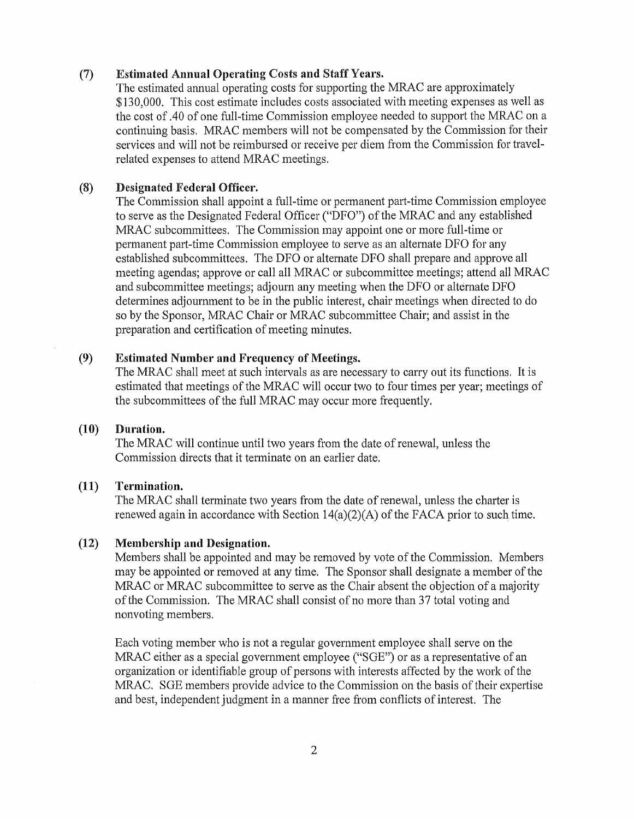#### (7) Estimated Annual Operating Costs and Staff Years.

The estimated annual operating costs for supporting the MRAC are approximately \$130,000. This cost estimate includes costs associated with meeting expenses as well as the cost of .40 of one full-time Commission employee needed to support the MRAC on a continuing basis. MRAC members will not be compensated by the Commission for their services and will not be reimbursed or receive per diem from the Commission for travelrelated expenses to attend MRAC meetings.

### (8) Designated Federal Officer.

The Commission shall appoint a full-time or permanent part-time Commission employee to serve as the Designated Federal Officer ("DFO") of the MRAC and any established MRAC subcommittees. The Commission may appoint one or more full-time or permanent part-time Commission employee to serve as an alternate DFO for any established subcommittees. The DFO or alternate DFO shall prepare and approve all meeting agendas; approve or call all MRAC or subcommittee meetings; attend all MRAC and subcommittee meetings; adjourn any meeting when the DFO or alternate DFO determines adjournment to be in the public interest, chair meetings when directed to do so by the Sponsor, MRAC Chair or MRAC subcommittee Chair; and assist in the preparation and certification of meeting minutes.

## (9) Estimated Number and Frequency of Meetings.

The MRAC shall meet at such intervals as are necessary to carry out its functions. It is estimated that meetings of the MRAC will occur two to four times per year; meetings of the subcommittees of the full MRAC may occur more frequently.

## (10) Duration.

The MRAC will continue until two years from the date of renewal, unless the Commission directs that it terminate on an earlier date.

#### (11) Termination.

The MRAC shall terminate two years from the date of renewal, unless the charter is renewed again in accordance with Section  $14(a)(2)(A)$  of the FACA prior to such time.

### (12) Membership and Designation.

Members shall be appointed and may be removed by vote of the Commission. Members may be appointed or removed at any time. The Sponsor shall designate a member of the MRAC or MRAC subcommittee to serve as the Chair absent the objection of a majority of the Commission. The MRAC shall consist of no more than 37 total voting and nonvoting members.

Each voting member who is not a regular government employee shall serve on the MRAC either as a special government employee ("SGE") or as a representative of an organization or identifiable group of persons with interests affected by the work of the MRAC. SGE members provide advice to the Commission on the basis of their expertise and best, independent judgment in a manner free from conflicts of interest. The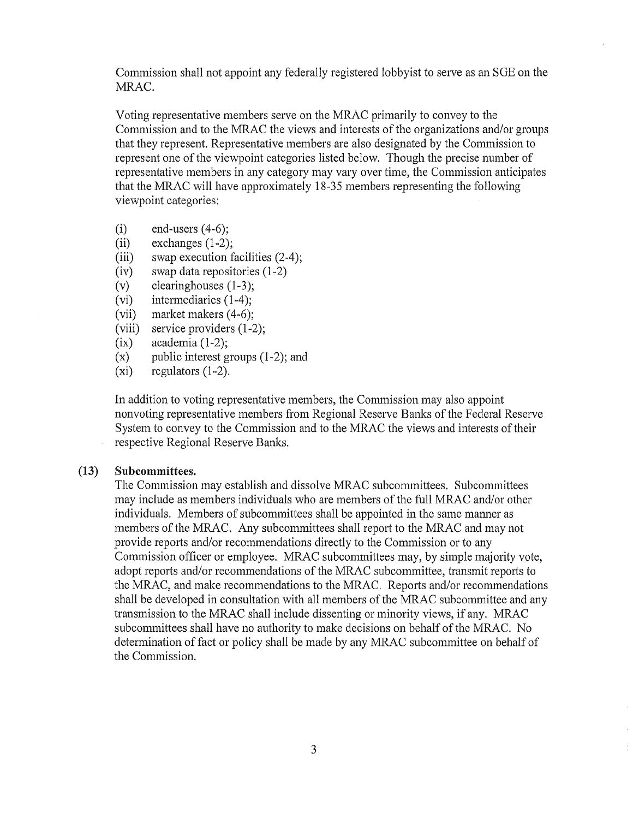Commission shall not appoint any federally registered lobbyist to serve as an SGE on the MRAC.

Voting representative members serve on the MRAC primarily to convey to the Commission and to the MRAC the views and interests of the organizations and/or groups that they represent. Representative members are also designated by the Commission to represent one of the viewpoint categories listed below. Though the precise number of representative members in any category may vary over time, the Commission anticipates that the MRAC will have approximately 18-35 members representing the following viewpoint categories:

- $(i)$  end-users  $(4-6)$ ;
- $(iii)$  exchanges  $(1-2)$ ;
- **(iii)**  swap execution facilities (2-4);
- $(iv)$  swap data repositories  $(1-2)$
- (v) clearinghouses  $(1-3)$ ;
- $(vi)$  intermediaries  $(1-4)$ ;
- (vii) market makers  $(4-6)$ ;
- (viii) service providers  $(1-2)$ ;
- $(ix)$  academia  $(1-2)$ ;
- $(x)$  public interest groups  $(1-2)$ ; and
- $(xi)$  regulators  $(1-2)$ .

In addition to voting representative members, the Commission may also appoint nonvoting representative members from Regional Reserve Banks of the Federal Reserve System to convey to the Commission and to the MRAC the views and interests oftheir respective Regional Reserve Banks.

#### **(13) Subcommittees.**

The Commission may establish and dissolve MRAC subcommittees. Subcommittees may include as members individuals who are members of the full MRAC and/or other individuals. Members of subcommittees shall be appointed in the same manner as members of the MRAC. Any subcommittees shall report to the MRAC and may not provide reports and/or recommendations directly to the Commission or to any Commission officer or employee. MRAC subcommittees may, by simple majority vote, adopt reports and/or recommendations of the MRAC subcommittee, transmit reports to the MRAC, and make recommendations to the MRAC. Reports and/or recommendations shall be developed in consultation with all members of the MRAC subcommittee and any transmission to the MRAC shall include dissenting or minority views, if any. MRAC subcommittees shall have no authority to make decisions on behalf of the MRAC. No determination of fact or policy shall be made by any MRAC subcommittee on behalf of the Commission.